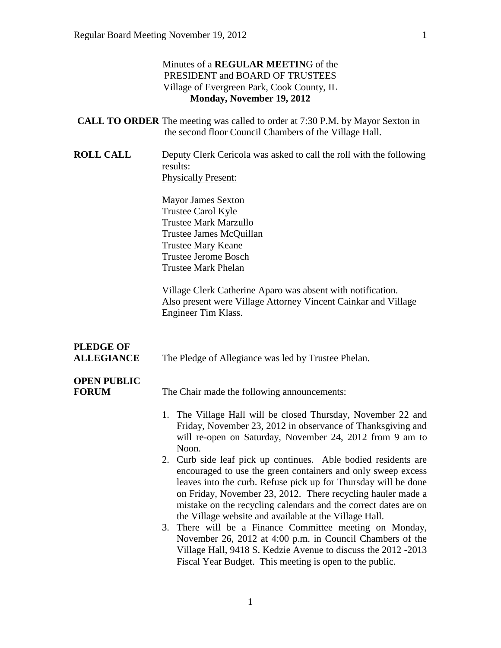#### Minutes of a **REGULAR MEETIN**G of the PRESIDENT and BOARD OF TRUSTEES Village of Evergreen Park, Cook County, IL **Monday, November 19, 2012**

| <b>CALL TO ORDER</b> The meeting was called to order at 7:30 P.M. by Mayor Sexton in |
|--------------------------------------------------------------------------------------|
| the second floor Council Chambers of the Village Hall.                               |

**ROLL CALL** Deputy Clerk Cericola was asked to call the roll with the following results: Physically Present:

> Mayor James Sexton Trustee Carol Kyle Trustee Mark Marzullo Trustee James McQuillan Trustee Mary Keane Trustee Jerome Bosch Trustee Mark Phelan

Village Clerk Catherine Aparo was absent with notification. Also present were Village Attorney Vincent Cainkar and Village Engineer Tim Klass.

| <b>PLEDGE OF</b>  |                                                     |
|-------------------|-----------------------------------------------------|
| <b>ALLEGIANCE</b> | The Pledge of Allegiance was led by Trustee Phelan. |

## **OPEN PUBLIC**

**FORUM** The Chair made the following announcements:

- 1. The Village Hall will be closed Thursday, November 22 and Friday, November 23, 2012 in observance of Thanksgiving and will re-open on Saturday, November 24, 2012 from 9 am to Noon.
- 2. Curb side leaf pick up continues. Able bodied residents are encouraged to use the green containers and only sweep excess leaves into the curb. Refuse pick up for Thursday will be done on Friday, November 23, 2012. There recycling hauler made a mistake on the recycling calendars and the correct dates are on the Village website and available at the Village Hall.
- 3. There will be a Finance Committee meeting on Monday, November 26, 2012 at 4:00 p.m. in Council Chambers of the Village Hall, 9418 S. Kedzie Avenue to discuss the 2012 -2013 Fiscal Year Budget. This meeting is open to the public.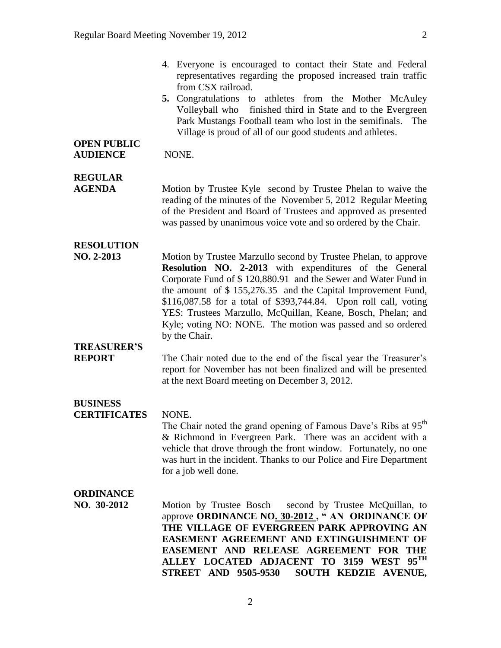4. Everyone is encouraged to contact their State and Federal representatives regarding the proposed increased train traffic from CSX railroad. **5.** Congratulations to athletes from the Mother McAuley Volleyball who finished third in State and to the Evergreen Park Mustangs Football team who lost in the semifinals. The Village is proud of all of our good students and athletes. **OPEN PUBLIC AUDIENCE** NONE. **REGULAR AGENDA** Motion by Trustee Kyle second by Trustee Phelan to waive the reading of the minutes of the November 5, 2012 Regular Meeting of the President and Board of Trustees and approved as presented

# was passed by unanimous voice vote and so ordered by the Chair.

### **RESOLUTION**

**NO. 2-2013** Motion by Trustee Marzullo second by Trustee Phelan, to approve **Resolution NO. 2-2013** with expenditures of the General Corporate Fund of \$ 120,880.91 and the Sewer and Water Fund in the amount of \$ 155,276.35 and the Capital Improvement Fund, \$116,087.58 for a total of \$393,744.84. Upon roll call, voting YES: Trustees Marzullo, McQuillan, Keane, Bosch, Phelan; and Kyle; voting NO: NONE. The motion was passed and so ordered by the Chair.

## **TREASURER'S**

**REPORT** The Chair noted due to the end of the fiscal year the Treasurer's report for November has not been finalized and will be presented at the next Board meeting on December 3, 2012.

### **BUSINESS**

#### **CERTIFICATES** NONE.

The Chair noted the grand opening of Famous Dave's Ribs at 95<sup>th</sup> & Richmond in Evergreen Park. There was an accident with a vehicle that drove through the front window. Fortunately, no one was hurt in the incident. Thanks to our Police and Fire Department for a job well done.

#### **ORDINANCE**

**NO. 30-2012** Motion by Trustee Bosch second by Trustee McQuillan, to approve **ORDINANCE NO. 30-2012 , " AN ORDINANCE OF THE VILLAGE OF EVERGREEN PARK APPROVING AN EASEMENT AGREEMENT AND EXTINGUISHMENT OF EASEMENT AND RELEASE AGREEMENT FOR THE ALLEY LOCATED ADJACENT TO 3159 WEST 95TH STREET AND 9505-9530 SOUTH KEDZIE AVENUE,**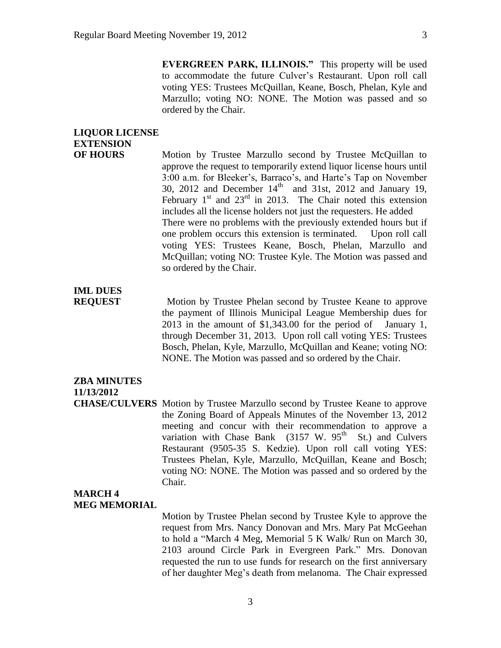**EVERGREEN PARK, ILLINOIS."** This property will be used to accommodate the future Culver's Restaurant. Upon roll call voting YES: Trustees McQuillan, Keane, Bosch, Phelan, Kyle and Marzullo; voting NO: NONE. The Motion was passed and so ordered by the Chair.

## **LIQUOR LICENSE EXTENSION**

**OF HOURS** Motion by Trustee Marzullo second by Trustee McQuillan to approve the request to temporarily extend liquor license hours until 3:00 a.m. for Bleeker's, Barraco's, and Harte's Tap on November 30, 2012 and December  $14<sup>th</sup>$  and 31st, 2012 and January 19, February  $1<sup>st</sup>$  and  $23<sup>rd</sup>$  in 2013. The Chair noted this extension includes all the license holders not just the requesters. He added There were no problems with the previously extended hours but if one problem occurs this extension is terminated. Upon roll call voting YES: Trustees Keane, Bosch, Phelan, Marzullo and McQuillan; voting NO: Trustee Kyle. The Motion was passed and so ordered by the Chair.

## **IML DUES**

**REQUEST** Motion by Trustee Phelan second by Trustee Keane to approve the payment of Illinois Municipal League Membership dues for 2013 in the amount of \$1,343.00 for the period of January 1, through December 31, 2013. Upon roll call voting YES: Trustees Bosch, Phelan, Kyle, Marzullo, McQuillan and Keane; voting NO: NONE. The Motion was passed and so ordered by the Chair.

#### **ZBA MINUTES 11/13/2012**

**CHASE/CULVERS** Motion by Trustee Marzullo second by Trustee Keane to approve the Zoning Board of Appeals Minutes of the November 13, 2012 meeting and concur with their recommendation to approve a variation with Chase Bank  $(3157 \text{ W. } 95^{\text{th}} \text{ St.})$  and Culvers Restaurant (9505-35 S. Kedzie). Upon roll call voting YES: Trustees Phelan, Kyle, Marzullo, McQuillan, Keane and Bosch; voting NO: NONE. The Motion was passed and so ordered by the Chair.

#### **MARCH 4 MEG MEMORIAL**

Motion by Trustee Phelan second by Trustee Kyle to approve the request from Mrs. Nancy Donovan and Mrs. Mary Pat McGeehan to hold a "March 4 Meg, Memorial 5 K Walk/ Run on March 30, 2103 around Circle Park in Evergreen Park." Mrs. Donovan requested the run to use funds for research on the first anniversary of her daughter Meg's death from melanoma. The Chair expressed